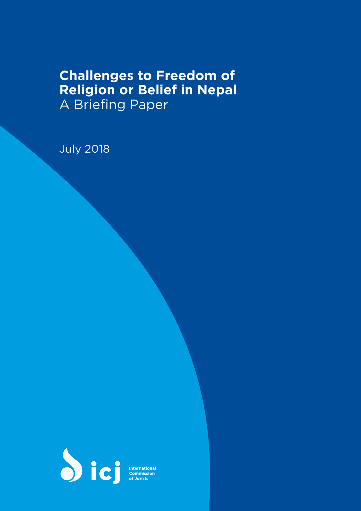# **Challenges to Freedom of Religion or Belief in Nepal** A Briefing Paper

July 2018



**International**<br>Commission<br>of Jurists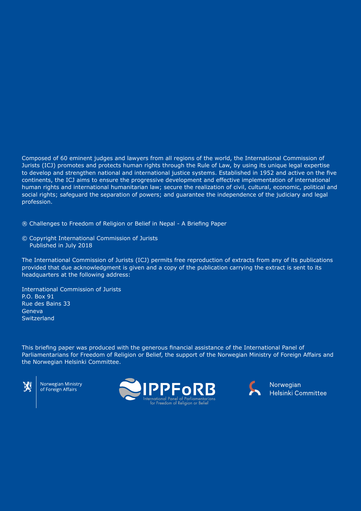Composed of 60 eminent judges and lawyers from all regions of the world, the International Commission of Jurists (ICJ) promotes and protects human rights through the Rule of Law, by using its unique legal expertise to develop and strengthen national and international justice systems. Established in 1952 and active on the five continents, the ICJ aims to ensure the progressive development and effective implementation of international human rights and international humanitarian law; secure the realization of civil, cultural, economic, political and social rights; safeguard the separation of powers; and guarantee the independence of the judiciary and legal profession.

® Challenges to Freedom of Religion or Belief in Nepal - A Briefing Paper

© Copyright International Commission of Jurists Published in July 2018

The International Commission of Jurists (ICJ) permits free reproduction of extracts from any of its publications provided that due acknowledgment is given and a copy of the publication carrying the extract is sent to its headquarters at the following address:

International Commission of Jurists P.O. Box 91 Rue des Bains 33 Geneva **Switzerland** 

This briefing paper was produced with the generous financial assistance of the International Panel of Parliamentarians for Freedom of Religion or Belief, the support of the Norwegian Ministry of Foreign Affairs and the Norwegian Helsinki Committee.



Norwegian Ministry of Foreign Affairs





Norwegian Helsinki Committee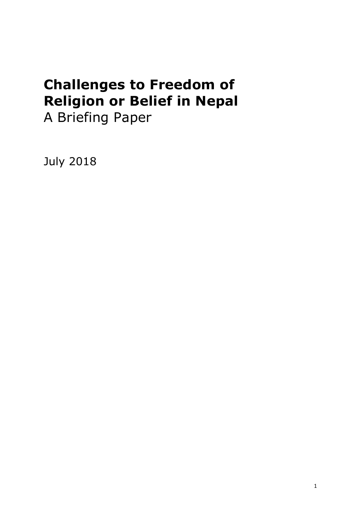# **Challenges to Freedom of Religion or Belief in Nepal** A Briefing Paper

July 2018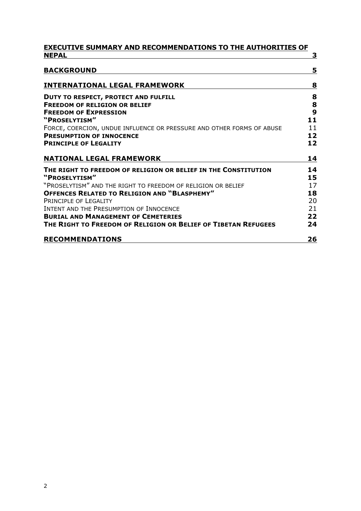| <b>EXECUTIVE SUMMARY AND RECOMMENDATIONS TO THE AUTHORITIES OF</b>                                       |          |
|----------------------------------------------------------------------------------------------------------|----------|
| <b>NEPAL</b>                                                                                             | з        |
| <b>BACKGROUND</b>                                                                                        | 5        |
| <b>INTERNATIONAL LEGAL FRAMEWORK</b>                                                                     | 8        |
| DUTY TO RESPECT, PROTECT AND FULFILL                                                                     | 8        |
| <b>FREEDOM OF RELIGION OR BELIEF</b>                                                                     | 8        |
| <b>FREEDOM OF EXPRESSION</b>                                                                             | 9        |
| "PROSELYTISM"                                                                                            | 11       |
| FORCE, COERCION, UNDUE INFLUENCE OR PRESSURE AND OTHER FORMS OF ABUSE<br><b>PRESUMPTION OF INNOCENCE</b> | 11<br>12 |
| <b>PRINCIPLE OF LEGALITY</b>                                                                             | 12       |
|                                                                                                          |          |
| <b>NATIONAL LEGAL FRAMEWORK</b>                                                                          | 14       |
| THE RIGHT TO FREEDOM OF RELIGION OR BELIEF IN THE CONSTITUTION                                           | 14       |
| "PROSELYTISM"                                                                                            | 15       |
| "PROSELYTISM" AND THE RIGHT TO FREEDOM OF RELIGION OR BELIEF                                             | 17       |
| <b>OFFENCES RELATED TO RELIGION AND "BLASPHEMY"</b>                                                      | 18       |
| PRINCIPLE OF LEGALITY                                                                                    | 20       |
| INTENT AND THE PRESUMPTION OF INNOCENCE                                                                  | 21       |
| <b>BURIAL AND MANAGEMENT OF CEMETERIES</b>                                                               | 22       |
| THE RIGHT TO FREEDOM OF RELIGION OR BELIEF OF TIBETAN REFUGEES                                           | 24       |
| <b>RECOMMENDATIONS</b>                                                                                   | 26       |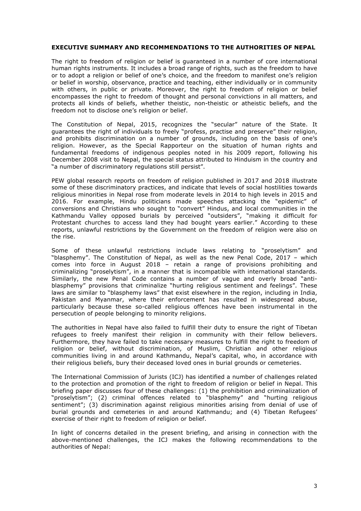#### <span id="page-4-0"></span>**EXECUTIVE SUMMARY AND RECOMMENDATIONS TO THE AUTHORITIES OF NEPAL**

The right to freedom of religion or belief is guaranteed in a number of core international human rights instruments. It includes a broad range of rights, such as the freedom to have or to adopt a religion or belief of one's choice, and the freedom to manifest one's religion or belief in worship, observance, practice and teaching, either individually or in community with others, in public or private. Moreover, the right to freedom of religion or belief encompasses the right to freedom of thought and personal convictions in all matters, and protects all kinds of beliefs, whether theistic, non-theistic or atheistic beliefs, and the freedom not to disclose one's religion or belief.

The Constitution of Nepal, 2015, recognizes the "secular" nature of the State. It guarantees the right of individuals to freely "profess, practise and preserve" their religion, and prohibits discrimination on a number of grounds, including on the basis of one's religion. However, as the Special Rapporteur on the situation of human rights and fundamental freedoms of indigenous peoples noted in his 2009 report, following his December 2008 visit to Nepal, the special status attributed to Hinduism in the country and "a number of discriminatory regulations still persist".

PEW global research reports on freedom of religion published in 2017 and 2018 illustrate some of these discriminatory practices, and indicate that levels of social hostilities towards religious minorities in Nepal rose from moderate levels in 2014 to high levels in 2015 and 2016. For example, Hindu politicians made speeches attacking the "epidemic" of conversions and Christians who sought to "convert" Hindus, and local communities in the Kathmandu Valley opposed burials by perceived "outsiders", "making it difficult for Protestant churches to access land they had bought years earlier." According to these reports, unlawful restrictions by the Government on the freedom of religion were also on the rise.

Some of these unlawful restrictions include laws relating to "proselytism" and "blasphemy". The Constitution of Nepal, as well as the new Penal Code, 2017 – which comes into force in August 2018 – retain a range of provisions prohibiting and criminalizing "proselytism", in a manner that is incompatible with international standards. Similarly, the new Penal Code contains a number of vague and overly broad "antiblasphemy" provisions that criminalize "hurting religious sentiment and feelings". These laws are similar to "blasphemy laws" that exist elsewhere in the region, including in India, Pakistan and Myanmar, where their enforcement has resulted in widespread abuse, particularly because these so-called religious offences have been instrumental in the persecution of people belonging to minority religions.

The authorities in Nepal have also failed to fulfill their duty to ensure the right of Tibetan refugees to freely manifest their religion in community with their fellow believers. Furthermore, they have failed to take necessary measures to fulfill the right to freedom of religion or belief, without discrimination, of Muslim, Christian and other religious communities living in and around Kathmandu, Nepal's capital, who, in accordance with their religious beliefs, bury their deceased loved ones in burial grounds or cemeteries.

The International Commission of Jurists (ICJ) has identified a number of challenges related to the protection and promotion of the right to freedom of religion or belief in Nepal. This briefing paper discusses four of these challenges: (1) the prohibition and criminalization of "proselytism"; (2) criminal offences related to "blasphemy" and "hurting religious sentiment"; (3) discrimination against religious minorities arising from denial of use of burial grounds and cemeteries in and around Kathmandu; and (4) Tibetan Refugees' exercise of their right to freedom of religion or belief.

In light of concerns detailed in the present briefing, and arising in connection with the above-mentioned challenges, the ICJ makes the following recommendations to the authorities of Nepal: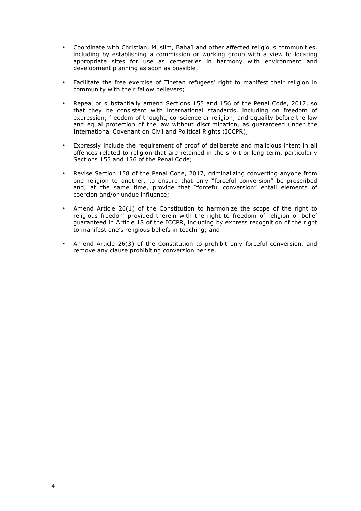- Coordinate with Christian, Muslim, Baha'i and other affected religious communities, including by establishing a commission or working group with a view to locating appropriate sites for use as cemeteries in harmony with environment and development planning as soon as possible;
- Facilitate the free exercise of Tibetan refugees' right to manifest their religion in community with their fellow believers;
- Repeal or substantially amend Sections 155 and 156 of the Penal Code, 2017, so that they be consistent with international standards, including on freedom of expression; freedom of thought, conscience or religion; and equality before the law and equal protection of the law without discrimination, as guaranteed under the International Covenant on Civil and Political Rights (ICCPR);
- Expressly include the requirement of proof of deliberate and malicious intent in all offences related to religion that are retained in the short or long term, particularly Sections 155 and 156 of the Penal Code;
- Revise Section 158 of the Penal Code, 2017, criminalizing converting anyone from one religion to another, to ensure that only "forceful conversion" be proscribed and, at the same time, provide that "forceful conversion" entail elements of coercion and/or undue influence;
- Amend Article 26(1) of the Constitution to harmonize the scope of the right to religious freedom provided therein with the right to freedom of religion or belief guaranteed in Article 18 of the ICCPR, including by express recognition of the right to manifest one's religious beliefs in teaching; and
- Amend Article 26(3) of the Constitution to prohibit only forceful conversion, and remove any clause prohibiting conversion per se.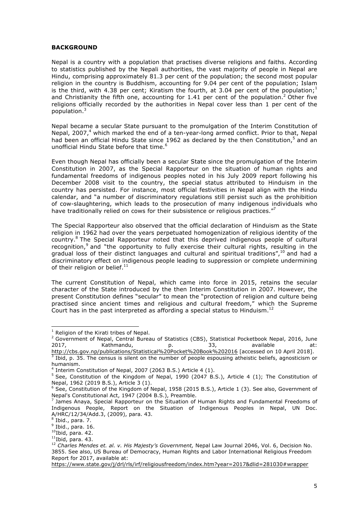#### <span id="page-6-0"></span>**BACKGROUND**

Nepal is a country with a population that practises diverse religions and faiths. According to statistics published by the Nepali authorities, the vast majority of people in Nepal are Hindu, comprising approximately 81.3 per cent of the population; the second most popular religion in the country is Buddhism, accounting for 9.04 per cent of the population; Islam is the third, with 4.38 per cent; Kiratism the fourth, at 3.04 per cent of the population;<sup>1</sup> and Christianity the fifth one, accounting for 1.41 per cent of the population.<sup>2</sup> Other five religions officially recorded by the authorities in Nepal cover less than 1 per cent of the population.<sup>3</sup>

Nepal became a secular State pursuant to the promulgation of the Interim Constitution of Nepal, 2007, $4$  which marked the end of a ten-year-long armed conflict. Prior to that, Nepal had been an official Hindu State since 1962 as declared by the then Constitution,<sup>5</sup> and an unofficial Hindu State before that time. $^6$ 

Even though Nepal has officially been a secular State since the promulgation of the Interim Constitution in 2007, as the Special Rapporteur on the situation of human rights and fundamental freedoms of indigenous peoples noted in his July 2009 report following his December 2008 visit to the country, the special status attributed to Hinduism in the country has persisted. For instance, most official festivities in Nepal align with the Hindu calendar, and "a number of discriminatory regulations still persist such as the prohibition of cow-slaughtering, which leads to the prosecution of many indigenous individuals who have traditionally relied on cows for their subsistence or religious practices."<sup>7</sup>

The Special Rapporteur also observed that the official declaration of Hinduism as the State religion in 1962 had over the years perpetuated homogenization of religious identity of the country.<sup>8</sup> The Special Rapporteur noted that this deprived indigenous people of cultural recognition, $9$  and "the opportunity to fully exercise their cultural rights, resulting in the gradual loss of their distinct languages and cultural and spiritual traditions",<sup>10</sup> and had a discriminatory effect on indigenous people leading to suppression or complete undermining of their religion or belief. $11$ 

The current Constitution of Nepal, which came into force in 2015, retains the secular character of the State introduced by the then Interim Constitution in 2007. However, the present Constitution defines "secular" to mean the "protection of religion and culture being practised since ancient times and religious and cultural freedom," which the Supreme Court has in the past interpreted as affording a special status to Hinduism.<sup>12</sup>

 $<sup>1</sup>$  Religion of the Kirati tribes of Nepal.</sup>

<sup>2</sup> Government of Nepal, Central Bureau of Statistics (CBS), Statistical Pocketbook Nepal, 2016, June 2017, Kathmandu, p. 33, available at:

http://cbs.gov.np/publications/Statistical%20Pocket%20Book%202016 [accessed on 10 April 2018]. <sup>3</sup> Ibid, p. 35. The census is silent on the number of people espousing atheistic beliefs, agnosticism or humanism.

 $4$  Interim Constitution of Nepal, 2007 (2063 B.S.) Article 4 (1).

 $5$  See. Constitution of the Kingdom of Nepal, 1990 (2047 B.S.), Article 4 (1); The Constitution of Nepal, 1962 (2019 B.S.), Article 3 (1).

 $6$  See, Constitution of the Kingdom of Nepal, 1958 (2015 B.S.), Article 1 (3). See also, Government of Nepal's Constitutional Act, 1947 (2004 B.S.), Preamble.

 $<sup>7</sup>$  James Anaya, Special Rapporteur on the Situation of Human Rights and Fundamental Freedoms of</sup> Indigenous People, Report on the Situation of Indigenous Peoples in Nepal, UN Doc. A/HRC/12/34/Add.3, (2009), para. 43.

 $8^{8}$  Ibid., para. 7.

 $<sup>9</sup>$  Ibid., para. 16.</sup>

 $10$ Ibid, para. 42.

 $<sup>11</sup>$ Ibid, para. 43.</sup>

<sup>12</sup> *Charles Mendes et. al. v. His Majesty's Government,* Nepal Law Journal 2046, Vol. 6, Decision No. 3855. See also, US Bureau of Democracy, Human Rights and Labor International Religious Freedom Report for 2017, available at:

https://www.state.gov/j/drl/rls/irf/religiousfreedom/index.htm?year=2017&dlid=281030#wrapper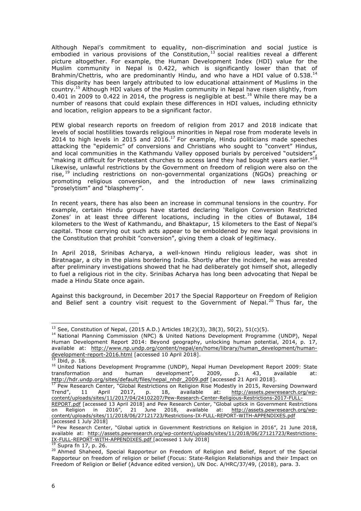Although Nepal's commitment to equality, non-discrimination and social justice is embodied in various provisions of the Constitution, $^{13}$  social realities reveal a different picture altogether. For example, the Human Development Index (HDI) value for the Muslim community in Nepal is 0.422, which is significantly lower than that of Brahmin/Chettris, who are predominantly Hindu, and who have a HDI value of 0.538.<sup>14</sup> This disparity has been largely attributed to low educational attainment of Muslims in the country.<sup>15</sup> Although HDI values of the Muslim community in Nepal have risen slightly, from 0.401 in 2009 to 0.422 in 2014, the progress is negligible at best.<sup>16</sup> While there may be a number of reasons that could explain these differences in HDI values, including ethnicity and location, religion appears to be a significant factor.

PEW global research reports on freedom of religion from 2017 and 2018 indicate that levels of social hostilities towards religious minorities in Nepal rose from moderate levels in 2014 to high levels in 2015 and 2016.<sup>17</sup> For example, Hindu politicians made speeches attacking the "epidemic" of conversions and Christians who sought to "convert" Hindus, and local communities in the Kathmandu Valley opposed burials by perceived "outsiders" "making it difficult for Protestant churches to access land they had bought years earlier."<sup>18</sup> Likewise, unlawful restrictions by the Government on freedom of religion were also on the rise, <sup>19</sup> including restrictions on non-governmental organizations (NGOs) preaching or promoting religious conversion, and the introduction of new laws criminalizing "proselytism" and "blasphemy".

In recent years, there has also been an increase in communal tensions in the country. For example, certain Hindu groups have started declaring 'Religion Conversion Restricted Zones' in at least three different locations, including in the cities of Butawal, 184 kilometers to the West of Kathmandu, and Bhaktapur, 15 kilometers to the East of Nepal's capital. Those carrying out such acts appear to be emboldened by new legal provisions in the Constitution that prohibit "conversion", giving them a cloak of legitimacy.

In April 2018, Srinibas Acharya, a well-known Hindu religious leader, was shot in Biratnagar, a city in the plains bordering India. Shortly after the incident, he was arrested after preliminary investigations showed that he had deliberately got himself shot, allegedly to fuel a religious riot in the city. Srinibas Acharya has long been advocating that Nepal be made a Hindu State once again.

Against this background, in December 2017 the Special Rapporteur on Freedom of Religion and Belief sent a country visit request to the Government of Nepal.<sup>20</sup> Thus far, the

<sup>&</sup>lt;sup>13</sup> See, Constitution of Nepal, (2015 A.D.) Articles  $18(2)(3)$ ,  $38(3)$ ,  $50(2)$ ,  $51(c)(5)$ .

<sup>&</sup>lt;sup>14</sup> National Planning Commission (NPC) & United Nations Development Programme (UNDP), Nepal Human Development Report 2014: Beyond geography, unlocking human potential, 2014, p. 17, available at: http://www.np.undp.org/content/nepal/en/home/library/human\_development/humandevelopment-report-2016.html [accessed 10 April 2018].

 $\frac{15}{15}$  Ibid, p. 18.

<sup>&</sup>lt;sup>16</sup> United Nations Development Programme (UNDP), Nepal Human Development Report 2009: State transformation and human development", 2009, p. 43, available at: http://hdr.undp.org/sites/default/files/nepal\_nhdr\_2009.pdf [accessed 21 April 2018].

<sup>&</sup>lt;sup>17</sup> Pew Research Center, "Global Restrictions on Religion Rise Modestly in 2015, Reversing Downward Trend", 11 April 2017, p. 18, available at: http://assets.pewresearch.org/wpcontent/uploads/sites/11/2017/04/24102207/Pew-Research-Center-Religious-Restrictions-2017-FULL-

REPORT.pdf [accessed 13 April 2018] and Pew Research Center, "Global uptick in Government Restrictions on Religion in 2016", 21 June 2018, available at: http://assets.pewresearch.org/wpcontent/uploads/sites/11/2018/06/27121723/Restrictions-IX-FULL-REPORT-WITH-APPENDIXES.pdf [accessed 1 July 2018]

<sup>&</sup>lt;sup>18</sup> Pew Research Center, "Global uptick in Government Restrictions on Religion in 2016", 21 June 2018, available at: http://assets.pewresearch.org/wp-content/uploads/sites/11/2018/06/27121723/Restrictions-IX-FULL-REPORT-WITH-APPENDIXES.pdf [accessed 1 July 2018]

<sup>&</sup>lt;sup>19</sup> Supra fn 17, p. 26.

<sup>&</sup>lt;sup>20</sup> Ahmed Shaheed, Special Rapporteur on Freedom of Religion and Belief, Report of the Special Rapporteur on freedom of religion or belief (Focus: State-Religion Relationships and their Impact on Freedom of Religion or Belief (Advance edited version), UN Doc. A/HRC/37/49, (2018), para. 3.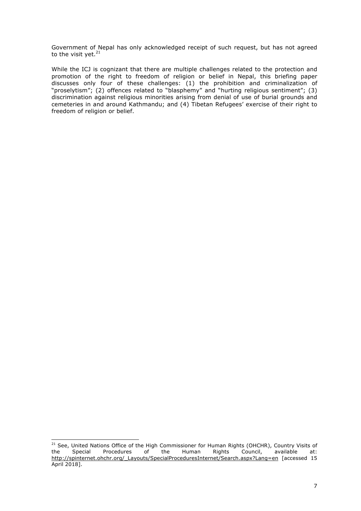Government of Nepal has only acknowledged receipt of such request, but has not agreed to the visit yet. $21$ 

While the ICJ is cognizant that there are multiple challenges related to the protection and promotion of the right to freedom of religion or belief in Nepal, this briefing paper discusses only four of these challenges: (1) the prohibition and criminalization of "proselytism"; (2) offences related to "blasphemy" and "hurting religious sentiment"; (3) discrimination against religious minorities arising from denial of use of burial grounds and cemeteries in and around Kathmandu; and (4) Tibetan Refugees' exercise of their right to freedom of religion or belief.

<sup>&</sup>lt;sup>21</sup> See, United Nations Office of the High Commissioner for Human Rights (OHCHR), Country Visits of the Special Procedures of the Human Rights Council, available at: the Special Procedures of the Human Rights Council, available at: http://spinternet.ohchr.org/\_Layouts/SpecialProceduresInternet/Search.aspx?Lang=en [accessed 15 April 2018].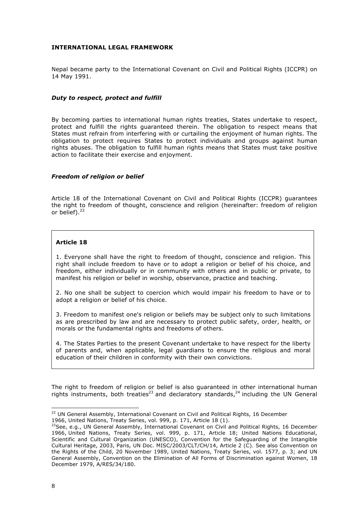#### <span id="page-9-0"></span>**INTERNATIONAL LEGAL FRAMEWORK**

Nepal became party to the International Covenant on Civil and Political Rights (ICCPR) on 14 May 1991.

#### <span id="page-9-1"></span>*Duty to respect, protect and fulfill*

By becoming parties to international human rights treaties, States undertake to respect, protect and fulfill the rights guaranteed therein. The obligation to respect means that States must refrain from interfering with or curtailing the enjoyment of human rights. The obligation to protect requires States to protect individuals and groups against human rights abuses. The obligation to fulfill human rights means that States must take positive action to facilitate their exercise and enjoyment.

#### <span id="page-9-2"></span>*Freedom of religion or belief*

Article 18 of the International Covenant on Civil and Political Rights (ICCPR) guarantees the right to freedom of thought, conscience and religion (hereinafter: freedom of religion or belief). $22$ 

#### **Article 18**

1. Everyone shall have the right to freedom of thought, conscience and religion. This right shall include freedom to have or to adopt a religion or belief of his choice, and freedom, either individually or in community with others and in public or private, to manifest his religion or belief in worship, observance, practice and teaching.

2. No one shall be subject to coercion which would impair his freedom to have or to adopt a religion or belief of his choice.

3. Freedom to manifest one's religion or beliefs may be subject only to such limitations as are prescribed by law and are necessary to protect public safety, order, health, or morals or the fundamental rights and freedoms of others.

4. The States Parties to the present Covenant undertake to have respect for the liberty of parents and, when applicable, legal guardians to ensure the religious and moral education of their children in conformity with their own convictions.

The right to freedom of religion or belief is also guaranteed in other international human rights instruments, both treaties<sup>23</sup> and declaratory standards,<sup>24</sup> including the UN General

<sup>&</sup>lt;sup>22</sup> UN General Assembly, International Covenant on Civil and Political Rights, 16 December

<sup>1966,</sup> United Nations, Treaty Series, vol. 999, p. 171, Article 18 (1).

<sup>&</sup>lt;sup>23</sup>See, e.g., UN General Assembly, International Covenant on Civil and Political Rights, 16 December 1966, United Nations, Treaty Series, vol. 999, p. 171, Article 18; United Nations Educational, Scientific and Cultural Organization (UNESCO), Convention for the Safeguarding of the Intangible Cultural Heritage, 2003, Paris, UN Doc. MISC/2003/CLT/CH/14, Article 2 (C). See also Convention on the Rights of the Child, 20 November 1989, United Nations, Treaty Series, vol. 1577, p. 3; and UN General Assembly, Convention on the Elimination of All Forms of Discrimination against Women, 18 December 1979, A/RES/34/180.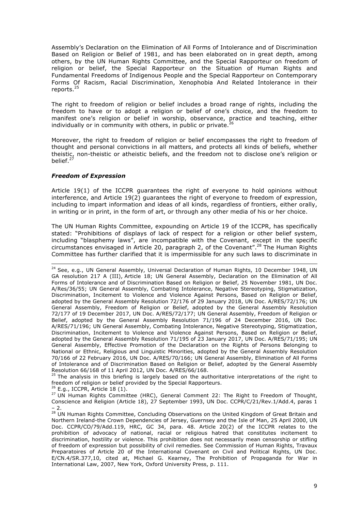Assembly's Declaration on the Elimination of All Forms of Intolerance and of Discrimination Based on Religion or Belief of 1981, and has been elaborated on in great depth, among others, by the UN Human Rights Committee, and the Special Rapporteur on freedom of religion or belief, the Special Rapporteur on the Situation of Human Rights and Fundamental Freedoms of Indigenous People and the Special Rapporteur on Contemporary Forms Of Racism, Racial Discrimination, Xenophobia And Related Intolerance in their reports.<sup>25</sup>

The right to freedom of religion or belief includes a broad range of rights, including the freedom to have or to adopt a religion or belief of one's choice, and the freedom to manifest one's religion or belief in worship, observance, practice and teaching, either individually or in community with others, in public or private. $^{26}$ 

Moreover, the right to freedom of religion or belief encompasses the right to freedom of thought and personal convictions in all matters, and protects all kinds of beliefs, whether theistic, non-theistic or atheistic beliefs, and the freedom not to disclose one's religion or belief. $<sup>2</sup>$ </sup>

# <span id="page-10-0"></span>*Freedom of Expression*

Article 19(1) of the ICCPR guarantees the right of everyone to hold opinions without interference, and Article 19(2) guarantees the right of everyone to freedom of expression, including to impart information and ideas of all kinds, regardless of frontiers, either orally, in writing or in print, in the form of art, or through any other media of his or her choice.

The UN Human Rights Committee, expounding on Article 19 of the ICCPR, has specifically stated: "Prohibitions of displays of lack of respect for a religion or other belief system, including "blasphemy laws", are incompatible with the Covenant, except in the specific circumstances envisaged in Article 20, paragraph 2, of the Covenant".<sup>28</sup> The Human Rights Committee has further clarified that it is impermissible for any such laws to discriminate in

<sup>25</sup> The analysis in this briefing is largely based on the authoritative interpretations of the right to freedom of religion or belief provided by the Special Rapporteurs.

 $26$  E.g., ICCPR, Article 18 (1).

<sup>&</sup>lt;sup>24</sup> See, e.g., UN General Assembly, Universal Declaration of Human Rights, 10 December 1948, UN GA resolution 217 A (III), Article 18; UN General Assembly, Declaration on the Elimination of All Forms of Intolerance and of Discrimination Based on Religion or Belief, 25 November 1981, UN Doc. A/Res/36/55; UN General Assembly, Combating Intolerance, Negative Stereotyping, Stigmatization, Discrimination, Incitement to Violence and Violence Against Persons, Based on Religion or Belief, adopted by the General Assembly Resolution 72/176 of 29 January 2018, UN Doc. A/RES/72/176; UN General Assembly, Freedom of Religion or Belief, adopted by the General Assembly Resolution 72/177 of 19 December 2017, UN Doc. A/RES/72/177; UN General Assembly, Freedom of Religion or Belief, adopted by the General Assembly Resolution 71/196 of 24 December 2016, UN Doc. A/RES/71/196; UN General Assembly, Combating Intolerance, Negative Stereotyping, Stigmatization, Discrimination, Incitement to Violence and Violence Against Persons, Based on Religion or Belief, adopted by the General Assembly Resolution 71/195 of 23 January 2017, UN Doc. A/RES/71/195; UN General Assembly, Effective Promotion of the Declaration on the Rights of Persons Belonging to National or Ethnic, Religious and Linguistic Minorities, adopted by the General Assembly Resolution 70/166 of 22 February 2016, UN Doc. A/RES/70/166; UN General Assembly, Elimination of All Forms of Intolerance and of Discrimination Based on Religion or Belief, adopted by the General Assembly Resolution 66/168 of 11 April 2012, UN Doc. A/RES/66/168.

 $27$  UN Human Rights Committee (HRC), General Comment 22: The Right to Freedom of Thought, Conscience and Religion (Article 18), 27 September 1993, UN Doc. CCPR/C/21/Rev.1/Add.4, paras 1 – 2.

<sup>&</sup>lt;sup>28</sup> UN Human Rights Committee, Concluding Observations on the United Kingdom of Great Britain and Northern Ireland-the Crown Dependencies of Jersey, Guernsey and the Isle of Man, 25 April 2000, UN Doc. CCPR/CO/79/Add.119, HRC, GC 34, para. 48. Article 20(2) of the ICCPR relates to the prohibition of advocacy of national, racial or religious hatred that constitutes incitement to discrimination, hostility or violence. This prohibition does not necessarily mean censorship or stifling of freedom of expression but possibility of civil remedies. See Commission of Human Rights, Travaux Preparatoires of Article 20 of the International Covenant on Civil and Political Rights, UN Doc. E/CN.4/SR.377,10, cited at, Michael G. Kearney, The Prohibition of Propaganda for War in International Law, 2007, New York, Oxford University Press, p. 111.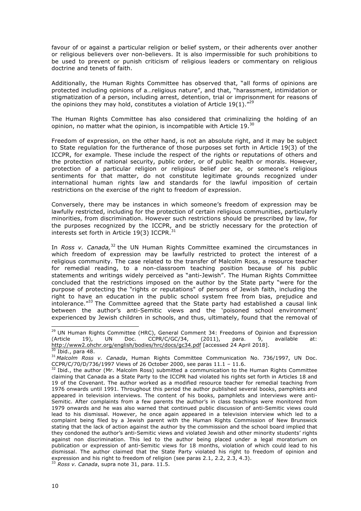favour of or against a particular religion or belief system, or their adherents over another or religious believers over non-believers. It is also impermissible for such prohibitions to be used to prevent or punish criticism of religious leaders or commentary on religious doctrine and tenets of faith.

Additionally, the Human Rights Committee has observed that, "all forms of opinions are protected including opinions of a…religious nature", and that, "harassment, intimidation or stigmatization of a person, including arrest, detention, trial or imprisonment for reasons of the opinions they may hold, constitutes a violation of Article 19(1).<sup>"29</sup>

The Human Rights Committee has also considered that criminalizing the holding of an opinion, no matter what the opinion, is incompatible with Article  $19.^{30}$ 

Freedom of expression, on the other hand, is not an absolute right, and it may be subject to State regulation for the furtherance of those purposes set forth in Article 19(3) of the ICCPR, for example. These include the respect of the rights or reputations of others and the protection of national security, public order, or of public health or morals. However, protection of a particular religion or religious belief per se, or someone's religious sentiments for that matter, do not constitute legitimate grounds recognized under international human rights law and standards for the lawful imposition of certain restrictions on the exercise of the right to freedom of expression.

Conversely, there may be instances in which someone's freedom of expression may be lawfully restricted, including for the protection of certain religious communities, particularly minorities, from discrimination. However such restrictions should be prescribed by law, for the purposes recognized by the ICCPR, and be strictly necessary for the protection of interests set forth in Article 19(3) ICCPR. $\frac{3}{2}$ 

In *Ross v. Canada,*<sup>32</sup> the UN Human Rights Committee examined the circumstances in which freedom of expression may be lawfully restricted to protect the interest of a religious community. The case related to the transfer of Malcolm Ross, a resource teacher for remedial reading, to a non-classroom teaching position because of his public statements and writings widely perceived as "anti-Jewish". The Human Rights Committee concluded that the restrictions imposed on the author by the State party "were for the purpose of protecting the "rights or reputations" of persons of Jewish faith, including the right to have an education in the public school system free from bias, prejudice and intolerance."33 The Committee agreed that the State party had established a causal link between the author's anti-Semitic views and the 'poisoned school environment' experienced by Jewish children in schools, and thus, ultimately, found that the removal of

<sup>&</sup>lt;sup>29</sup> UN Human Rights Committee (HRC), General Comment 34: Freedoms of Opinion and Expression (Article 19), UN Doc. CCPR/C/GC/34, (2011), para. 9, available at: http://www2.ohchr.org/english/bodies/hrc/docs/gc34.pdf [accessed 24 April 2018]. Ibid., para 48.

<sup>31</sup> *Malcolm Ross v. Canada*, Human Rights Committee Communication No. 736/1997, UN Doc. CCPR/C/70/D/736/1997 Views of 26 October 2000, see paras 11.1 – 11.6.

 $32$  Ibid., the author (Mr. Malcolm Ross) submitted a communication to the Human Rights Committee claiming that Canada as a State Party to the ICCPR had violated his rights set forth in Articles 18 and 19 of the Covenant. The author worked as a modified resource teacher for remedial teaching from 1976 onwards until 1991. Throughout this period the author published several books, pamphlets and appeared in television interviews. The content of his books, pamphlets and interviews were anti-Semitic. After complaints from a few parents the author's in class teachings were monitored from 1979 onwards and he was also warned that continued public discussion of anti-Semitic views could lead to his dismissal. However, he once again appeared in a television interview which led to a complaint being filed by a Jewish parent with the Human Rights Commission of New Brunswick stating that the lack of action against the author by the commission and the school board implied that they condoned the author's anti-Semitic views and violated Jewish and other minority students' rights against non discrimination. This led to the author being placed under a legal moratorium on publication or expression of anti-Semitic views for 18 months, violation of which could lead to his dismissal. The author claimed that the State Party violated his right to freedom of opinion and expression and his right to freedom of religion (see paras 2.1, 2.2, 2.3, 4.3).

<sup>33</sup> *Ross v. Canada*, supra note 31, para. 11.5.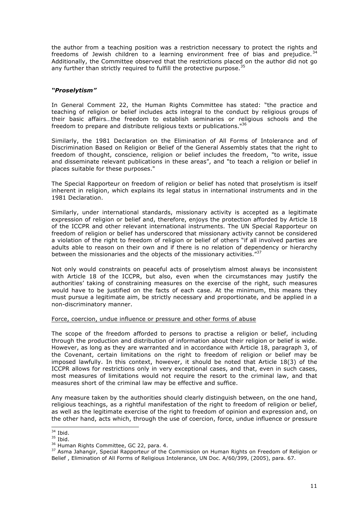the author from a teaching position was a restriction necessary to protect the rights and freedoms of Jewish children to a learning environment free of bias and prejudice.  $34$ Additionally, the Committee observed that the restrictions placed on the author did not go any further than strictly required to fulfill the protective purpose.<sup>35</sup>

#### <span id="page-12-0"></span>*"Proselytism"*

In General Comment 22, the Human Rights Committee has stated: "the practice and teaching of religion or belief includes acts integral to the conduct by religious groups of their basic affairs…the freedom to establish seminaries or religious schools and the freedom to prepare and distribute religious texts or publications."<sup>36</sup>

Similarly, the 1981 Declaration on the Elimination of All Forms of Intolerance and of Discrimination Based on Religion or Belief of the General Assembly states that the right to freedom of thought, conscience, religion or belief includes the freedom, "to write, issue and disseminate relevant publications in these areas", and "to teach a religion or belief in places suitable for these purposes."

The Special Rapporteur on freedom of religion or belief has noted that proselytism is itself inherent in religion, which explains its legal status in international instruments and in the 1981 Declaration.

Similarly, under international standards, missionary activity is accepted as a legitimate expression of religion or belief and, therefore, enjoys the protection afforded by Article 18 of the ICCPR and other relevant international instruments. The UN Special Rapporteur on freedom of religion or belief has underscored that missionary activity cannot be considered a violation of the right to freedom of religion or belief of others "if all involved parties are adults able to reason on their own and if there is no relation of dependency or hierarchy between the missionaries and the objects of the missionary activities."<sup>37</sup>

Not only would constraints on peaceful acts of proselytism almost always be inconsistent with Article 18 of the ICCPR, but also, even when the circumstances may justify the authorities' taking of constraining measures on the exercise of the right, such measures would have to be justified on the facts of each case. At the minimum, this means they must pursue a legitimate aim, be strictly necessary and proportionate, and be applied in a non-discriminatory manner.

#### <span id="page-12-1"></span>Force, coercion, undue influence or pressure and other forms of abuse

The scope of the freedom afforded to persons to practise a religion or belief, including through the production and distribution of information about their religion or belief is wide. However, as long as they are warranted and in accordance with Article 18, paragraph 3, of the Covenant, certain limitations on the right to freedom of religion or belief may be imposed lawfully. In this context, however, it should be noted that Article 18(3) of the ICCPR allows for restrictions only in very exceptional cases, and that, even in such cases, most measures of limitations would not require the resort to the criminal law, and that measures short of the criminal law may be effective and suffice.

Any measure taken by the authorities should clearly distinguish between, on the one hand, religious teachings, as a rightful manifestation of the right to freedom of religion or belief, as well as the legitimate exercise of the right to freedom of opinion and expression and, on the other hand, acts which, through the use of coercion, force, undue influence or pressure

 $34$  Ibid.

 $\frac{35}{35}$  Ibid.<br> $\frac{35}{36}$  Human Rights Committee, GC 22, para. 4.

<sup>&</sup>lt;sup>37</sup> Asma Jahangir, Special Rapporteur of the Commission on Human Rights on Freedom of Religion or Belief , Elimination of All Forms of Religious Intolerance, UN Doc. A/60/399, (2005), para. 67.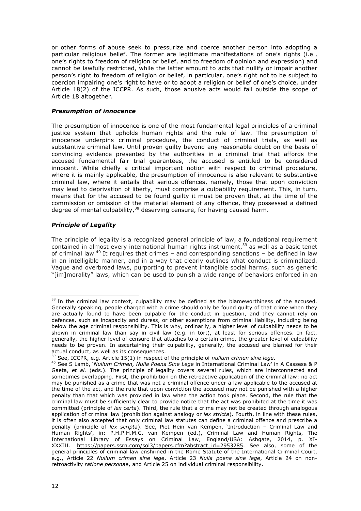or other forms of abuse seek to pressurize and coerce another person into adopting a particular religious belief. The former are legitimate manifestations of one's rights (i.e., one's rights to freedom of religion or belief, and to freedom of opinion and expression) and cannot be lawfully restricted, while the latter amount to acts that nullify or impair another person's right to freedom of religion or belief, in particular, one's right not to be subject to coercion impairing one's right to have or to adopt a religion or belief of one's choice, under Article 18(2) of the ICCPR. As such, those abusive acts would fall outside the scope of Article 18 altogether.

#### <span id="page-13-0"></span>*Presumption of innocence*

The presumption of innocence is one of the most fundamental legal principles of a criminal justice system that upholds human rights and the rule of law. The presumption of innocence underpins criminal procedure, the conduct of criminal trials, as well as substantive criminal law. Until proven guilty beyond any reasonable doubt on the basis of convincing evidence presented by the authorities in a criminal trial that affords the accused fundamental fair trial guarantees, the accused is entitled to be considered innocent. While chiefly a critical important notion with respect to criminal procedure, where it is mainly applicable, the presumption of innocence is also relevant to substantive criminal law, where it entails that serious offences, namely, those that upon conviction may lead to deprivation of liberty, must comprise a culpability requirement. This, in turn, means that for the accused to be found guilty it must be proven that, at the time of the commission or omission of the material element of any offence, they possessed a defined degree of mental culpability,  $38$  deserving censure, for having caused harm.

# <span id="page-13-1"></span>*Principle of Legality*

The principle of legality is a recognized general principle of law, a foundational requirement contained in almost every international human rights instrument,<sup>39</sup> as well as a basic tenet of criminal law. <sup>40</sup> It requires that crimes *–* and corresponding sanctions *–* be defined in law in an intelligible manner, and in a way that clearly outlines what conduct is criminalized. Vague and overbroad laws, purporting to prevent intangible social harms, such as generic "[im]morality" laws, which can be used to punish a wide range of behaviors enforced in an

<sup>&</sup>lt;sup>38</sup> In the criminal law context, culpability may be defined as the blameworthiness of the accused. Generally speaking, people charged with a crime should only be found guilty of that crime when they are actually found to have been culpable for the conduct in question, and they cannot rely on defences, such as incapacity and duress, or other exemptions from criminal liability, including being below the age criminal responsibility. This is why, ordinarily, a higher level of culpability needs to be shown in criminal law than say in civil law (e.g. in tort), at least for serious offences. In fact, generally, the higher level of censure that attaches to a certain crime, the greater level of culpability needs to be proven. In ascertaining their culpability, generally, the accused are blamed for their actual conduct, as well as its consequences.

<sup>39</sup> See, ICCPR, e.g. Article 15(1) in respect of the principle of *nullum crimen sine lege*.

<sup>40</sup> See S Lamb, '*Nullum Crimen, Nulla Poena Sine Lege* in International Criminal Law' in A Cassese & P Gaeta, et al. (eds.). The principle of legality covers several rules, which are interconnected and sometimes overlapping. First, the prohibition on the retroactive application of the criminal law: no act may be punished as a crime that was not a criminal offence under a law applicable to the accused at the time of the act, and the rule that upon conviction the accused may not be punished with a higher penalty than that which was provided in law when the action took place. Second, the rule that the criminal law must be sufficiently clear to provide notice that the act was prohibited at the time it was committed (principle of *lex certa*). Third, the rule that a crime may not be created through analogous application of criminal law (prohibition against analogy or *lex stricta*). Fourth, in line with these rules, it is often also accepted that only criminal law statutes can define a criminal offence and prescribe a penalty (principle of *lex scripta*). See, Piet Hein van Kempen, 'Introduction – Criminal Law and Human Rights', in: P.H.P.H.M.C. van Kempen (ed.), Criminal Law and Human Rights, The International Library of Essays on Criminal Law, England/USA: Ashgate, 2014, p. XI-XXXIII. https://papers.ssrn.com/sol3/papers.cfm?abstract\_id=2953285. See also, some of the general principles of criminal law enshrined in the Rome Statute of the International Criminal Court, e.g., Article 22 *Nullum crimen sine lege*, Article 23 *Nulla poena sine lege*, Article 24 on nonretroactivity *ratione personae*, and Article 25 on individual criminal responsibility.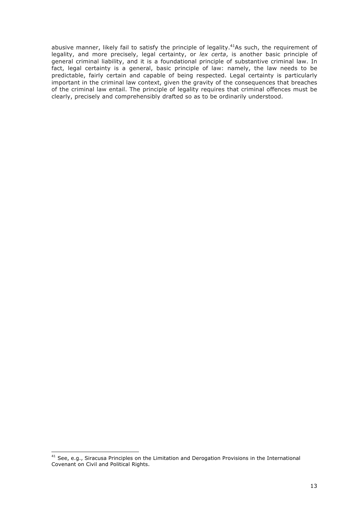abusive manner, likely fail to satisfy the principle of legality.<sup>41</sup>As such, the requirement of legality, and more precisely, legal certainty, or *lex certa*, is another basic principle of general criminal liability, and it is a foundational principle of substantive criminal law. In fact, legal certainty is a general, basic principle of law: namely, the law needs to be predictable, fairly certain and capable of being respected. Legal certainty is particularly important in the criminal law context, given the gravity of the consequences that breaches of the criminal law entail. The principle of legality requires that criminal offences must be clearly, precisely and comprehensibly drafted so as to be ordinarily understood.

<sup>&</sup>lt;sup>41</sup> See, e.g., Siracusa Principles on the Limitation and Derogation Provisions in the International Covenant on Civil and Political Rights.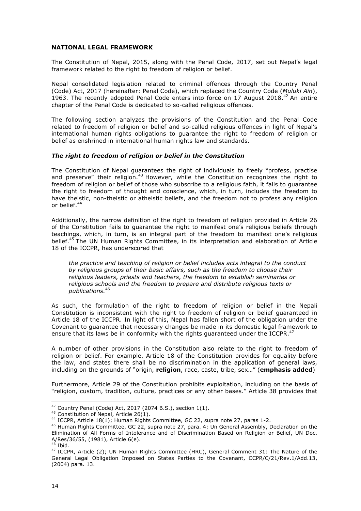#### <span id="page-15-0"></span>**NATIONAL LEGAL FRAMEWORK**

The Constitution of Nepal, 2015, along with the Penal Code, 2017, set out Nepal's legal framework related to the right to freedom of religion or belief.

Nepal consolidated legislation related to criminal offences through the Country Penal (Code) Act, 2017 (hereinafter: Penal Code), which replaced the Country Code (*Muluki Ain*), 1963. The recently adopted Penal Code enters into force on 17 August 2018. $42$  An entire chapter of the Penal Code is dedicated to so-called religious offences.

The following section analyzes the provisions of the Constitution and the Penal Code related to freedom of religion or belief and so-called religious offences in light of Nepal's international human rights obligations to guarantee the right to freedom of religion or belief as enshrined in international human rights law and standards.

#### <span id="page-15-1"></span>*The right to freedom of religion or belief in the Constitution*

The Constitution of Nepal guarantees the right of individuals to freely "profess, practise and preserve" their religion.<sup>43</sup> However, while the Constitution recognizes the right to freedom of religion or belief of those who subscribe to a religious faith, it fails to guarantee the right to freedom of thought and conscience, which, in turn, includes the freedom to have theistic, non-theistic or atheistic beliefs, and the freedom not to profess any religion or belief.<sup>44</sup>

Additionally, the narrow definition of the right to freedom of religion provided in Article 26 of the Constitution fails to guarantee the right to manifest one's religious beliefs through teachings, which, in turn, is an integral part of the freedom to manifest one's religious belief.<sup>45</sup> The UN Human Rights Committee, in its interpretation and elaboration of Article 18 of the ICCPR, has underscored that

*the practice and teaching of religion or belief includes acts integral to the conduct by religious groups of their basic affairs, such as the freedom to choose their religious leaders, priests and teachers, the freedom to establish seminaries or religious schools and the freedom to prepare and distribute religious texts or publications.*<sup>46</sup>

As such, the formulation of the right to freedom of religion or belief in the Nepali Constitution is inconsistent with the right to freedom of religion or belief guaranteed in Article 18 of the ICCPR. In light of this, Nepal has fallen short of the obligation under the Covenant to guarantee that necessary changes be made in its domestic legal framework to ensure that its laws be in conformity with the rights guaranteed under the ICCPR. $47$ 

A number of other provisions in the Constitution also relate to the right to freedom of religion or belief. For example, Article 18 of the Constitution provides for equality before the law, and states there shall be no discrimination in the application of general laws, including on the grounds of "origin, **religion**, race, caste, tribe, sex…" (**emphasis added**)

Furthermore, Article 29 of the Constitution prohibits exploitation, including on the basis of "religion, custom, tradition, culture, practices or any other bases." Article 38 provides that

 <sup>42</sup> Country Penal (Code) Act, 2017 (2074 B.S.), section 1(1).

<sup>43</sup> Constitution of Nepal, Article 26(1).

<sup>&</sup>lt;sup>44</sup> ICCPR, Article 18(1); Human Rights Committee, GC 22, supra note 27, paras 1-2.

<sup>&</sup>lt;sup>45</sup> Human Rights Committee, GC 22, supra note 27, para. 4; Un General Assembly, Declaration on the Elimination of All Forms of Intolerance and of Discrimination Based on Religion or Belief, UN Doc. A/Res/36/55, (1981), Article 6(e).

 $46$  Ibid.

 $47$  ICCPR, Article (2); UN Human Rights Committee (HRC), General Comment 31: The Nature of the General Legal Obligation Imposed on States Parties to the Covenant, CCPR/C/21/Rev.1/Add.13, (2004) para. 13.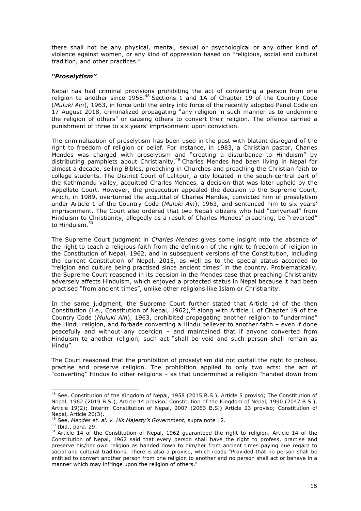there shall not be any physical, mental, sexual or psychological or any other kind of violence against women, or any kind of oppression based on "religious, social and cultural tradition, and other practices."

# <span id="page-16-0"></span>*"Proselytism"*

Nepal has had criminal provisions prohibiting the act of converting a person from one religion to another since 1958.<sup>48</sup> Sections 1 and 1A of Chapter 19 of the Country Code (*Muluki Ain*), 1963, in force until the entry into force of the recently adopted Penal Code on 17 August 2018, criminalized propagating "any religion in such manner as to undermine the religion of others" or causing others to convert their religion. The offence carried a punishment of three to six years' imprisonment upon conviction.

The criminalization of proselytism has been used in the past with blatant disregard of the right to freedom of religion or belief. For instance, in 1983, a Christian pastor, Charles Mendes was charged with proselytism and "creating a disturbance to Hinduism" by distributing pamphlets about Christianity.<sup>49</sup> Charles Mendes had been living in Nepal for almost a decade, selling Bibles, preaching in Churches and preaching the Christian faith to college students. The District Court of Lalitpur, a city located in the south-central part of the Kathmandu valley, acquitted Charles Mendes, a decision that was later upheld by the Appellate Court. However, the prosecution appealed the decision to the Supreme Court, which, in 1989, overturned the acquittal of Charles Mendes, convicted him of proselytism under Article 1 of the Country Code (*Muluki Ain*), 1963, and sentenced him to six years' imprisonment. The Court also ordered that two Nepali citizens who had "converted" from Hinduism to Christianity, allegedly as a result of Charles Mendes' preaching, be "reverted" to Hinduism.<sup>50</sup>

The Supreme Court judgment in *Charles Mendes* gives some insight into the absence of the right to teach a religious faith from the definition of the right to freedom of religion in the Constitution of Nepal, 1962, and in subsequent versions of the Constitution, including the current Constitution of Nepal, 2015, as well as to the special status accorded to "religion and culture being practised since ancient times" in the country. Problematically, the Supreme Court reasoned in its decision in the Mendes case that preaching Christianity adversely affects Hinduism, which enjoyed a protected status in Nepal because it had been practised "from ancient times", unlike other religions like Islam or Christianity.

In the same judgment, the Supreme Court further stated that Article 14 of the then Constitution (i.e., Constitution of Nepal, 1962), $51$  along with Article 1 of Chapter 19 of the Country Code (*Muluki Ain*), 1963, prohibited propagating another religion to "undermine" the Hindu religion, and forbade converting a Hindu believer to another faith – even if done peacefully and without any coercion – and maintained that if anyone converted from Hinduism to another religion, such act "shall be void and such person shall remain as Hindu".

The Court reasoned that the prohibition of proselytism did not curtail the right to profess, practise and preserve religion. The prohibition applied to only two acts: the act of "converting" Hindus to other religions – as that undermined a religion "handed down from

<sup>48</sup> See, Constitution of the Kingdom of Nepal, 1958 (2015 B.S.), Article 5 proviso; The Constitution of Nepal, 1962 (2019 B.S.), Article 14 proviso; Constitution of the Kingdom of Nepal, 1990 (2047 B.S.), Article 19(2); Interim Constitution of Nepal, 2007 (2063 B.S.) Article 23 proviso; Constitution of Nepal, Article 26(3).

<sup>49</sup> See, *Mendes et. al. v. His Majesty's Government,* supra note 12.

<sup>50</sup> Ibid., para. 29.

<sup>&</sup>lt;sup>51</sup> Article 14 of the Constitution of Nepal, 1962 guaranteed the right to religion. Article 14 of the Constitution of Nepal, 1962 said that every person shall have the right to profess, practise and preserve his/her own religion as handed down to him/her from ancient times paying due regard to social and cultural traditions. There is also a proviso, which reads "Provided that no person shall be entitled to convert another person from one religion to another and no person shall act or behave in a manner which may infringe upon the religion of others."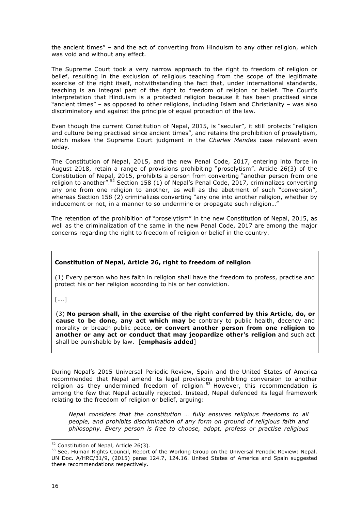the ancient times" – and the act of converting from Hinduism to any other religion, which was void and without any effect.

The Supreme Court took a very narrow approach to the right to freedom of religion or belief, resulting in the exclusion of religious teaching from the scope of the legitimate exercise of the right itself, notwithstanding the fact that, under international standards, teaching is an integral part of the right to freedom of religion or belief. The Court's interpretation that Hinduism is a protected religion because it has been practised since "ancient times" – as opposed to other religions, including Islam and Christianity – was also discriminatory and against the principle of equal protection of the law.

Even though the current Constitution of Nepal, 2015, is "secular", it still protects "religion and culture being practised since ancient times", and retains the prohibition of proselytism, which makes the Supreme Court judgment in the *Charles Mendes* case relevant even today.

The Constitution of Nepal, 2015, and the new Penal Code, 2017, entering into force in August 2018, retain a range of provisions prohibiting "proselytism". Article 26(3) of the Constitution of Nepal, 2015, prohibits a person from converting "another person from one religion to another".<sup>52</sup> Section 158 (1) of Nepal's Penal Code, 2017, criminalizes converting any one from one religion to another, as well as the abetment of such "conversion", whereas Section 158 (2) criminalizes converting "any one into another religion, whether by inducement or not, in a manner to so undermine or propagate such religion…"

The retention of the prohibition of "proselytism" in the new Constitution of Nepal, 2015, as well as the criminalization of the same in the new Penal Code, 2017 are among the major concerns regarding the right to freedom of religion or belief in the country.

# **Constitution of Nepal, Article 26, right to freedom of religion**

(1) Every person who has faith in religion shall have the freedom to profess, practise and protect his or her religion according to his or her conviction.

[….]

(3) **No person shall, in the exercise of the right conferred by this Article, do, or cause to be done, any act which may** be contrary to public health, decency and morality or breach public peace, **or convert another person from one religion to another or any act or conduct that may jeopardize other's religion** and such act shall be punishable by law. [**emphasis added**]

During Nepal's 2015 Universal Periodic Review, Spain and the United States of America recommended that Nepal amend its legal provisions prohibiting conversion to another religion as they undermined freedom of religion.<sup>53</sup> However, this recommendation is among the few that Nepal actually rejected. Instead, Nepal defended its legal framework relating to the freedom of religion or belief, arguing:

*Nepal considers that the constitution … fully ensures religious freedoms to all people, and prohibits discrimination of any form on ground of religious faith and philosophy. Every person is free to choose, adopt, profess or practise religious* 

 $52$  Constitution of Nepal, Article 26(3).

<sup>&</sup>lt;sup>53</sup> See, Human Rights Council, Report of the Working Group on the Universal Periodic Review: Nepal, UN Doc. A/HRC/31/9, (2015) paras 124.7, 124.16. United States of America and Spain suggested these recommendations respectively.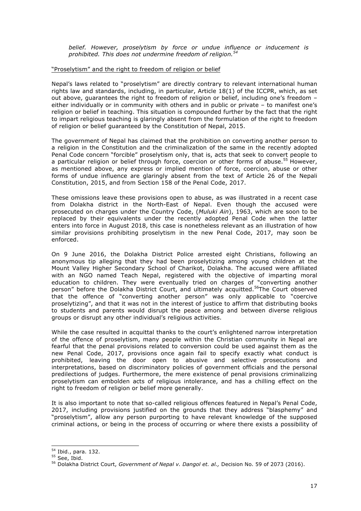*belief. However, proselytism by force or undue influence or inducement is prohibited. This does not undermine freedom of religion.<sup>54</sup>*

#### <span id="page-18-0"></span>"Proselytism" and the right to freedom of religion or belief

Nepal's laws related to "proselytism" are directly contrary to relevant international human rights law and standards, including, in particular, Article 18(1) of the ICCPR, which, as set out above, guarantees the right to freedom of religion or belief, including one's freedom – either individually or in community with others and in public or private – to manifest one's religion or belief in teaching. This situation is compounded further by the fact that the right to impart religious teaching is glaringly absent from the formulation of the right to freedom of religion or belief guaranteed by the Constitution of Nepal, 2015.

The government of Nepal has claimed that the prohibition on converting another person to a religion in the Constitution and the criminalization of the same in the recently adopted Penal Code concern "forcible" proselytism only, that is, acts that seek to convert people to a particular religion or belief through force, coercion or other forms of abuse.<sup>55</sup> However, as mentioned above, any express or implied mention of force, coercion, abuse or other forms of undue influence are glaringly absent from the text of Article 26 of the Nepali Constitution, 2015, and from Section 158 of the Penal Code, 2017.

These omissions leave these provisions open to abuse, as was illustrated in a recent case from Dolakha district in the North-East of Nepal. Even though the accused were prosecuted on charges under the Country Code, (*Muluki Ain*), 1963, which are soon to be replaced by their equivalents under the recently adopted Penal Code when the latter enters into force in August 2018, this case is nonetheless relevant as an illustration of how similar provisions prohibiting proselytism in the new Penal Code, 2017, may soon be enforced.

On 9 June 2016, the Dolakha District Police arrested eight Christians, following an anonymous tip alleging that they had been proselytizing among young children at the Mount Valley Higher Secondary School of Charikot, Dolakha. The accused were affiliated with an NGO named Teach Nepal, registered with the objective of imparting moral education to children. They were eventually tried on charges of "converting another person" before the Dolakha District Court, and ultimately acquitted.<sup>56</sup>The Court observed that the offence of "converting another person" was only applicable to "coercive proselytizing", and that it was not in the interest of justice to affirm that distributing books to students and parents would disrupt the peace among and between diverse religious groups or disrupt any other individual's religious activities.

While the case resulted in acquittal thanks to the court's enlightened narrow interpretation of the offence of proselytism, many people within the Christian community in Nepal are fearful that the penal provisions related to conversion could be used against them as the new Penal Code, 2017, provisions once again fail to specify exactly what conduct is prohibited, leaving the door open to abusive and selective prosecutions and interpretations, based on discriminatory policies of government officials and the personal predilections of judges. Furthermore, the mere existence of penal provisions criminalizing proselytism can embolden acts of religious intolerance, and has a chilling effect on the right to freedom of religion or belief more generally.

It is also important to note that so-called religious offences featured in Nepal's Penal Code, 2017, including provisions justified on the grounds that they address "blasphemy" and "proselytism", allow any person purporting to have relevant knowledge of the supposed criminal actions, or being in the process of occurring or where there exists a possibility of

 <sup>54</sup> Ibid., para. 132.

<sup>&</sup>lt;sup>55</sup> See, Ibid.

<sup>56</sup> Dolakha District Court, *Government of Nepal v. Dangol et. al.,* Decision No. 59 of 2073 (2016).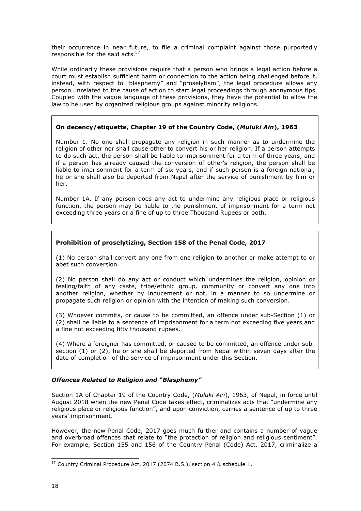their occurrence in near future, to file a criminal complaint against those purportedly responsible for the said acts.<sup>57</sup>

While ordinarily these provisions require that a person who brings a legal action before a court must establish sufficient harm or connection to the action being challenged before it, instead, with respect to "blasphemy" and "proselytism", the legal procedure allows any person unrelated to the cause of action to start legal proceedings through anonymous tips. Coupled with the vague language of these provisions, they have the potential to allow the law to be used by organized religious groups against minority religions.

# **On decency/etiquette, Chapter 19 of the Country Code, (***Muluki Ain***), 1963**

Number 1. No one shall propagate any religion in such manner as to undermine the religion of other nor shall cause other to convert his or her religion. If a person attempts to do such act, the person shall be liable to imprisonment for a term of three years, and if a person has already caused the conversion of other's religion, the person shall be liable to imprisonment for a term of six years, and if such person is a foreign national, he or she shall also be deported from Nepal after the service of punishment by him or her.

Number 1A. If any person does any act to undermine any religious place or religious function, the person may be liable to the punishment of imprisonment for a term not exceeding three years or a fine of up to three Thousand Rupees or both.

# **Prohibition of proselytizing, Section 158 of the Penal Code, 2017**

(1) No person shall convert any one from one religion to another or make attempt to or abet such conversion.

(2) No person shall do any act or conduct which undermines the religion, opinion or feeling/faith of any caste, tribe/ethnic group*,* community or convert any one into another religion, whether by inducement or not, in a manner to so undermine or propagate such religion or opinion with the intention of making such conversion.

(3) Whoever commits, or cause to be committed, an offence under sub-Section (1) or (2) shall be liable to a sentence of imprisonment for a term not exceeding five years and a fine not exceeding fifty thousand rupees.

(4) Where a foreigner has committed, or caused to be committed, an offence under subsection (1) or (2), he or she shall be deported from Nepal within seven days after the date of completion of the service of imprisonment under this Section.

# <span id="page-19-0"></span>*Offences Related to Religion and "Blasphemy"*

Section 1A of Chapter 19 of the Country Code, (*Muluki Ain*), 1963, of Nepal, in force until August 2018 when the new Penal Code takes effect, criminalizes acts that "undermine any religious place or religious function", and upon conviction, carries a sentence of up to three years' imprisonment.

However, the new Penal Code, 2017 goes much further and contains a number of vague and overbroad offences that relate to "the protection of religion and religious sentiment". For example, Section 155 and 156 of the Country Penal (Code) Act, 2017, criminalize a

 <sup>57</sup> Country Criminal Procedure Act, 2017 (2074 B.S.), section 4 & schedule 1.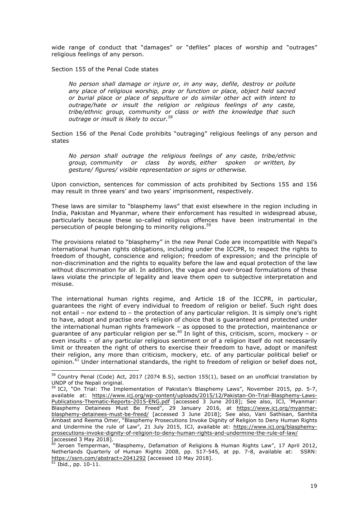wide range of conduct that "damages" or "defiles" places of worship and "outrages" religious feelings of any person.

Section 155 of the Penal Code states

*No person shall damage or injure or, in any way, defile, destroy or pollute any place of religious worship, pray or function or place, object held sacred or burial place or place of sepulture or do similar other act with intent to outrage/hate or insult the religion or religious feelings of any caste, tribe/ethnic group, community or class or with the knowledge that such outrage or insult is likely to occur.<sup>58</sup>*

Section 156 of the Penal Code prohibits "outraging" religious feelings of any person and states

*No person shall outrage the religious feelings of any caste, tribe/ethnic group, community or class by words, either spoken or written, by gesture/ figures/ visible representation or signs or otherwise.*

Upon conviction, sentences for commission of acts prohibited by Sections 155 and 156 may result in three years' and two years' imprisonment, respectively.

These laws are similar to "blasphemy laws" that exist elsewhere in the region including in India, Pakistan and Myanmar, where their enforcement has resulted in widespread abuse, particularly because these so-called religious offences have been instrumental in the persecution of people belonging to minority religions.<sup>59</sup>

The provisions related to "blasphemy" in the new Penal Code are incompatible with Nepal's international human rights obligations, including under the ICCPR, to respect the rights to freedom of thought, conscience and religion; freedom of expression; and the principle of non-discrimination and the rights to equality before the law and equal protection of the law without discrimination for all. In addition, the vague and over-broad formulations of these laws violate the principle of legality and leave them open to subjective interpretation and misuse.

The international human rights regime, and Article 18 of the ICCPR, in particular, guarantees the right of every individual to freedom of religion or belief. Such right does not entail – nor extend to – the protection of any particular religion. It is simply one's right to have, adopt and practise one's religion of choice that is guaranteed and protected under the international human rights framework – as opposed to the protection, maintenance or guarantee of any particular religion per se.<sup>60</sup> In light of this, criticism, scorn, mockery – or even insults – of any particular religious sentiment or of a religion itself do not necessarily limit or threaten the right of others to exercise their freedom to have, adopt or manifest their religion, any more than criticism, mockery, etc. of any particular political belief or opinion.<sup>61</sup> Under international standards, the right to freedom of religion or belief does not,

<sup>&</sup>lt;sup>58</sup> Country Penal (Code) Act, 2017 (2074 B.S), section 155(1), based on an unofficial translation by UNDP of the Nepali original.

<sup>&</sup>lt;sup>59</sup> ICJ, "On Trial: The Implementation of Pakistan's Blasphemy Laws", November 2015, pp. 5-7, available at: https://www.icj.org/wp-content/uploads/2015/12/Pakistan-On-Trial-Blasphemy-Laws-Publications-Thematic-Reports-2015-ENG.pdf [accessed 3 June 2018]; See also, ICJ, 'Myanmar: Blasphemy Detainees Must Be Freed", 29 January 2016, at https://www.icj.org/myanmarblasphemy-detainees-must-be-freed/ [accessed 3 June 2018]; See also, Vani Sathisan, Sanhita Ambast and Reema Omer, "Blasphemy Prosecutions Invoke Dignity of Religion to Deny Human Rights and Undermine the rule of Law", 21 July 2015, ICJ, available at: https://www.icj.org/blasphemyprosecutions-invoke-dignity-of-religion-to-deny-human-rights-and-undermine-the-rule-of-law/ [accessed 3 May 2018].

 $^{60}$  Jeroen Temperman, "Blasphemy, Defamation of Religions & Human Rights Law", 17 April 2012, Netherlands Quarterly of Human Rights 2008, pp. 517-545, at pp. 7-8, available at: SSRN: https://ssrn.com/abstract=2041292 [accessed 10 May 2018].

 $\frac{61 \text{ Ibid.,}}{61 \text{ I4}}$  pp. 10-11.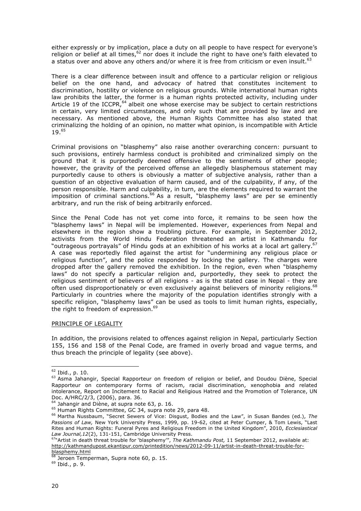either expressly or by implication, place a duty on all people to have respect for everyone's religion or belief at all times,  $62$  nor does it include the right to have one's faith elevated to a status over and above any others and/or where it is free from criticism or even insult.<sup>63</sup>

There is a clear difference between insult and offence to a particular religion or religious belief on the one hand, and advocacy of hatred that constitutes incitement to discrimination, hostility or violence on religious grounds. While international human rights law prohibits the latter, the former is a human rights protected activity, including under Article 19 of the ICCPR,  $64$  albeit one whose exercise may be subject to certain restrictions in certain, very limited circumstances, and only such that are provided by law and are necessary. As mentioned above, the Human Rights Committee has also stated that criminalizing the holding of an opinion, no matter what opinion, is incompatible with Article 19.<sup>65</sup>

Criminal provisions on "blasphemy" also raise another overarching concern: pursuant to such provisions, entirely harmless conduct is prohibited and criminalized simply on the ground that it is purportedly deemed offensive to the sentiments of other people; however, the gravity of the perceived offense an allegedly blasphemous statement may purportedly cause to others is obviously a matter of subjective analysis, rather than a question of an objective evaluation of harm caused, and of the culpability, if any, of the person responsible. Harm and culpability, in turn, are the elements required to warrant the  $\frac{1}{2}$  imposition of criminal sanctions.  $66$  As a result, "blasphemy laws" are per se eminently arbitrary, and run the risk of being arbitrarily enforced.

Since the Penal Code has not yet come into force, it remains to be seen how the "blasphemy laws" in Nepal will be implemented. However, experiences from Nepal and elsewhere in the region show a troubling picture. For example, in September 2012, activists from the World Hindu Federation threatened an artist in Kathmandu for "outrageous portrayals" of Hindu gods at an exhibition of his works at a local art gallery.<sup>67</sup> A case was reportedly filed against the artist for "undermining any religious place or religious function", and the police responded by locking the gallery. The charges were dropped after the gallery removed the exhibition. In the region, even when "blasphemy laws" do not specify a particular religion and, purportedly, they seek to protect the religious sentiment of believers of all religions - as is the stated case in Nepal - they are often used disproportionately or even exclusively against believers of minority religions.<sup>68</sup> Particularly in countries where the majority of the population identifies strongly with a specific religion, "blasphemy laws" can be used as tools to limit human rights, especially, the right to freedom of expression.<sup>69</sup>

#### <span id="page-21-0"></span>PRINCIPLE OF LEGALITY

In addition, the provisions related to offences against religion in Nepal, particularly Section 155, 156 and 158 of the Penal Code, are framed in overly broad and vague terms, and thus breach the principle of legality (see above).

 <sup>62</sup> Ibid., p. 10.

<sup>&</sup>lt;sup>63</sup> Asma Jahangir, Special Rapporteur on freedom of religion or belief, and Doudou Diène, Special Rapporteur on contemporary forms of racism, racial discrimination, xenophobia and related intolerance, Report on Incitement to Racial and Religious Hatred and the Promotion of Tolerance, UN Doc. A/HRC/2/3, (2006), para. 36.

 $64$  Jahangir and Diène, at supra note 63, p. 16.

<sup>&</sup>lt;sup>65</sup> Human Rights Committee, GC 34, supra note 29, para 48.

<sup>66</sup> Martha Nussbaum, "Secret Sewers of Vice: Disgust, Bodies and the Law", in Susan Bandes (ed.), *The Passions of Law,* New York University Press, 1999, pp. 19-62, cited at Peter Cumper, & Tom Lewis, "Last Rites and Human Rights: Funeral Pyres and Religious Freedom in the United Kingdom", 2010, *Ecclesiastical Law Journal,12*(2), 131-151, Cambridge University Press.

<sup>67&</sup>quot;Artist in death threat trouble for 'blasphemy'", *The Kathmandu Post,* 11 September 2012, available at: http://kathmandupost.ekantipur.com/printedition/news/2012-09-11/artist-in-death-threat-trouble-forblasphemy.html

Jeroen Temperman, Supra note 60, p. 15.

<sup>69</sup> Ibid., p. 9.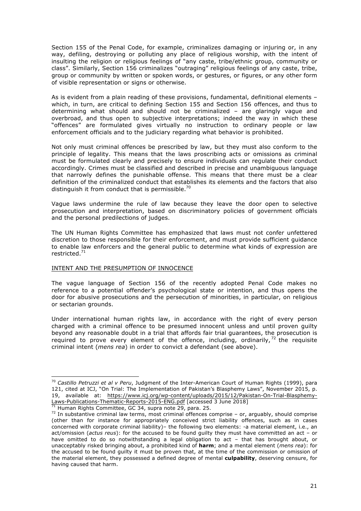Section 155 of the Penal Code, for example, criminalizes damaging or injuring or, in any way, defiling, destroying or polluting any place of religious worship, with the intent of insulting the religion or religious feelings of "any caste, tribe/ethnic group, community or class". Similarly, Section 156 criminalizes "outraging" religious feelings of any caste, tribe, group or community by written or spoken words, or gestures, or figures, or any other form of visible representation or signs or otherwise.

As is evident from a plain reading of these provisions, fundamental, definitional elements – which, in turn, are critical to defining Section 155 and Section 156 offences, and thus to determining what should and should not be criminalized – are glaringly vague and overbroad, and thus open to subjective interpretations; indeed the way in which these "offences" are formulated gives virtually no instruction to ordinary people or law enforcement officials and to the judiciary regarding what behavior is prohibited.

Not only must criminal offences be prescribed by law, but they must also conform to the principle of legality. This means that the laws proscribing acts or omissions as criminal must be formulated clearly and precisely to ensure individuals can regulate their conduct accordingly. Crimes must be classified and described in precise and unambiguous language that narrowly defines the punishable offense. This means that there must be a clear definition of the criminalized conduct that establishes its elements and the factors that also distinguish it from conduct that is permissible.<sup>70</sup>

Vague laws undermine the rule of law because they leave the door open to selective prosecution and interpretation, based on discriminatory policies of government officials and the personal predilections of judges.

The UN Human Rights Committee has emphasized that laws must not confer unfettered discretion to those responsible for their enforcement, and must provide sufficient guidance to enable law enforcers and the general public to determine what kinds of expression are restricted.<sup>71</sup>

# <span id="page-22-0"></span>INTENT AND THE PRESUMPTION OF INNOCENCE

The vague language of Section 156 of the recently adopted Penal Code makes no reference to a potential offender's psychological state or intention, and thus opens the door for abusive prosecutions and the persecution of minorities, in particular, on religious or sectarian grounds.

Under international human rights law, in accordance with the right of every person charged with a criminal offence to be presumed innocent unless and until proven guilty beyond any reasonable doubt in a trial that affords fair trial guarantees, the prosecution is required to prove every element of the offence, including, ordinarily,  $72$  the requisite criminal intent (*mens rea*) in order to convict a defendant (see above).

 <sup>70</sup> *Castillo Petruzzi et al v Peru*, Judgment of the Inter-American Court of Human Rights (1999), para 121, cited at ICJ, "On Trial: The Implementation of Pakistan's Blasphemy Laws", November 2015, p. 19, available at: https://www.icj.org/wp-content/uploads/2015/12/Pakistan-On-Trial-Blasphemy-Laws-Publications-Thematic-Reports-2015-ENG.pdf [accessed 3 June 2018]

Human Rights Committee, GC 34, supra note 29, para. 25.

<sup>72</sup> In substantive criminal law terms, most criminal offences comprise *–* or, arguably, should comprise (other than for instance for appropriately conceived strict liability offences, such as in cases concerned with corporate criminal liability)*–* the following two elements: -a material element, i.e., an act/omission (*actus reus*): for the accused to be found guilty they must have committed an act *–* or have omitted to do so notwithstanding a legal obligation to act *–* that has brought about, or unacceptably risked bringing about, a prohibited kind of **harm**; and a mental element (*mens rea*): for the accused to be found guilty it must be proven that, at the time of the commission or omission of the material element, they possessed a defined degree of mental **culpability**, deserving censure, for having caused that harm.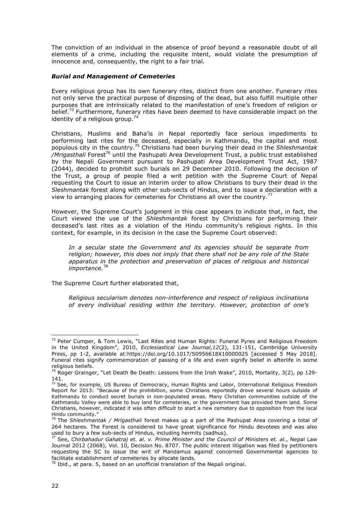The conviction of an individual in the absence of proof beyond a reasonable doubt of all elements of a crime, including the requisite intent, would violate the presumption of innocence and, consequently, the right to a fair trial.

#### <span id="page-23-0"></span>*Burial and Management of Cemeteries*

Every religious group has its own funerary rites, distinct from one another. Funerary rites not only serve the practical purpose of disposing of the dead, but also fulfill multiple other purposes that are intrinsically related to the manifestation of one's freedom of religion or belief.<sup>73</sup> Furthermore, funerary rites have been deemed to have considerable impact on the identity of a religious group.<sup>74</sup>

Christians, Muslims and Baha'is in Nepal reportedly face serious impediments to performing last rites for the deceased, especially in Kathmandu, the capital and most populous city in the country.75 Christians had been burying their dead in the *Shleshmantak*  /Mrigasthali Forest<sup>76</sup> until the Pashupati Area Development Trust, a public trust established by the Nepali Government pursuant to Pashupati Area Development Trust Act, 1987 (2044), decided to prohibit such burials on 29 December 2010. Following the decision of the Trust, a group of people filed a writ petition with the Supreme Court of Nepal requesting the Court to issue an interim order to allow Christians to bury their dead in the *Sleshmantak* forest along with other sub-sects of Hindus, and to issue a declaration with a view to arranging places for cemeteries for Christians all over the country.<sup>77</sup>

However, the Supreme Court's judgment in this case appears to indicate that, in fact, the Court viewed the use of the *Shleshmantak* forest by Christians for performing their deceased's last rites as a violation of the Hindu community's religious rights. In this context, for example, in its decision in the case the Supreme Court observed:

*In a secular state the Government and its agencies should be separate from religion; however, this does not imply that there shall not be any role of the State apparatus in the protection and preservation of places of religious and historical importance.*<sup>78</sup>

The Supreme Court further elaborated that,

*Religious secularism denotes non-interference and respect of religious inclinations of every individual residing within the territory. However, protection of one's* 

 $73$  Peter Cumper,  $8$  Tom Lewis, "Last Rites and Human Rights: Funeral Pyres and Religious Freedom in the United Kingdom", 2010, *Ecclesiastical Law Journal,12*(2), 131-151, Cambridge University Press, pp 1-2, available at:https://doi.org/10.1017/S0956618X10000025 [accessed 5 May 2018]. Funeral rites signify commemoration of passing of a life and even signify belief in afterlife in some religious beliefs.

<sup>&</sup>lt;sup>74</sup> Roger Grainger, "Let Death Be Death: Lessons from the Irish Wake", 2010, Mortality, 3(2), pp 129-141.

<sup>&</sup>lt;sup>75</sup> See, for example, US Bureau of Democracy, Human Rights and Labor, International Religious Freedom Report for 2013: "Because of the prohibition, some Christians reportedly drove several hours outside of Kathmandu to conduct secret burials in non-populated areas. Many Christian communities outside of the Kathmandu Valley were able to buy land for cemeteries, or the government has provided them land. Some Christians, however, indicated it was often difficult to start a new cemetery due to opposition from the local Hindu community."

<sup>76</sup> The *Shleshmantak / Mrigasthali* forest makes up a part of the Pashupat Area covering a total of 264 hectares. The Forest is considered to have great significance for Hindu devotees and was also used to bury a few sub-sects of Hindus, including hermits (sadhus).

<sup>77</sup> See, *Chirbahadur Gahatraj et. al. v. Prime Minister and the Council of Ministers et. al.*, Nepal Law Journal 2012 (2068), Vol. 10, Decision No. 8707. The public interest litigation was filed by petitioners requesting the SC to issue the writ of Mandamus against concerned Governmental agencies to facilitate establishment of cemeteries by allocate lands.

 $^{78}$  Ibid., at para. 5, based on an unofficial translation of the Nepali original.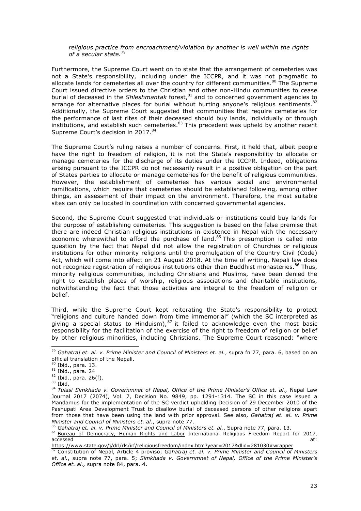#### *religious practice from encroachment/violation by another is well within the rights of a secular state.*<sup>79</sup>

Furthermore, the Supreme Court went on to state that the arrangement of cemeteries was not a State's responsibility, including under the ICCPR, and it was not pragmatic to allocate lands for cemeteries all over the country for different communities. $80$  The Supreme Court issued directive orders to the Christian and other non-Hindu communities to cease burial of deceased in the *Shleshmantak* forest,<sup>81</sup> and to concerned government agencies to arrange for alternative places for burial without hurting anyone's religious sentiments.<sup>82</sup> Additionally, the Supreme Court suggested that communities that require cemeteries for the performance of last rites of their deceased should buy lands, individually or through institutions, and establish such cemeteries. $83$  This precedent was upheld by another recent Supreme Court's decision in 2017.<sup>84</sup>

The Supreme Court's ruling raises a number of concerns. First*,* it held that, albeit people have the right to freedom of religion, it is not the State's responsibility to allocate or manage cemeteries for the discharge of its duties under the ICCPR. Indeed, obligations arising pursuant to the ICCPR do not necessarily result in a positive obligation on the part of States parties to allocate or manage cemeteries for the benefit of religious communities. However, the establishment of cemeteries has various social and environmental ramifications, which require that cemeteries should be established following, among other things, an assessment of their impact on the environment. Therefore, the most suitable sites can only be located in coordination with concerned governmental agencies.

Second*,* the Supreme Court suggested that individuals or institutions could buy lands for the purpose of establishing cemeteries. This suggestion is based on the false premise that there are indeed Christian religious institutions in existence in Nepal with the necessary economic wherewithal to afford the purchase of land. $85$  This presumption is called into question by the fact that Nepal did not allow the registration of Churches or religious institutions for other minority religions until the promulgation of the Country Civil (Code) Act, which will come into effect on 21 August 2018. At the time of writing, Nepali law does not recognize registration of religious institutions other than Buddhist monasteries.<sup>86</sup> Thus, minority religious communities, including Christians and Muslims, have been denied the right to establish places of worship, religious associations and charitable institutions, notwithstanding the fact that those activities are integral to the freedom of religion or belief.

Third, while the Supreme Court kept reiterating the State's responsibility to protect "religions and culture handed down from time immemorial" (which the SC interpreted as giving a special status to Hinduism), $87$  it failed to acknowledge even the most basic responsibility for the facilitation of the exercise of the right to freedom of religion or belief by other religious minorities, including Christians. The Supreme Court reasoned: "where

 <sup>79</sup> *Gahatraj et. al. v. Prime Minister and Council of Ministers et. al.*, supra fn 77, para. 6, based on an official translation of the Nepali.

<sup>80</sup> Ibid., para. 13.

 $81$  Ibid., para. 24

 $82$  Ibid., para. 26(f).

 $83$  Ibid.

<sup>84</sup> *Tulasi Simkhada v. Governmnet of Nepal, Office of the Prime Minister's Office et. al.,* Nepal Law Journal 2017 (2074), Vol. 7, Decision No. 9849, pp. 1291-1314. The SC in this case issued a Mandamus for the implementation of the SC verdict upholding Decision of 29 December 2010 of the Pashupati Area Development Trust to disallow burial of deceased persons of other religions apart from those that have been using the land with prior approval. See also, *Gahatraj et. al. v. Prime Minister and Council of Ministers et. al.*, supra note 77.

<sup>85</sup> *Gahatraj et. al. v. Prime Minister and Council of Ministers et. al.*, Supra note 77, para. 13. 86 Bureau of Democracy, Human Rights and Labor International Religious Freedom Report for 2017, accessed at: the contract of the contract of the contract of the contract of the contract of the contract of the contract of the contract of the contract of the contract of the contract of the contract of the contract of t

https://www.state.gov/j/drl/rls/irf/religiousfreedom/index.htm?year=2017&dlid=281030#wrapper

<sup>87</sup> Constitution of Nepal, Article 4 proviso; *Gahatraj et. al. v. Prime Minister and Council of Ministers et. al.*, supra note 77, para. 5; *Simkhada v. Governmnet of Nepal, Office of the Prime Minister's Office et. al.,* supra note 84, para. 4.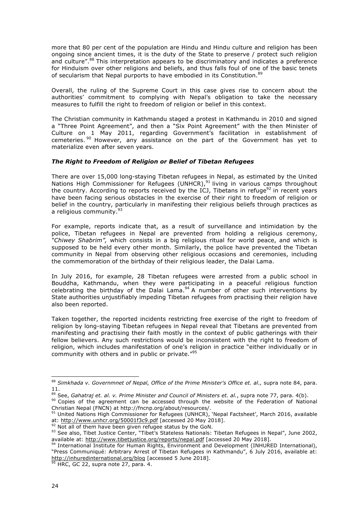more that 80 per cent of the population are Hindu and Hindu culture and religion has been ongoing since ancient times, it is the duty of the State to preserve / protect such religion and culture".<sup>88</sup> This interpretation appears to be discriminatory and indicates a preference for Hinduism over other religions and beliefs, and thus falls foul of one of the basic tenets of secularism that Nepal purports to have embodied in its Constitution.<sup>8</sup>

Overall, the ruling of the Supreme Court in this case gives rise to concern about the authorities' commitment to complying with Nepal's obligation to take the necessary measures to fulfill the right to freedom of religion or belief in this context.

The Christian community in Kathmandu staged a protest in Kathmandu in 2010 and signed a "Three Point Agreement", and then a "Six Point Agreement" with the then Minister of Culture on 1 May 2011, regarding Government's facilitation in establishment of cemeteries.<sup>90</sup> However, any assistance on the part of the Government has yet to materialize even after seven years.

# <span id="page-25-0"></span>*The Right to Freedom of Religion or Belief of Tibetan Refugees*

There are over 15,000 long-staying Tibetan refugees in Nepal, as estimated by the United Nations High Commissioner for Refugees (UNHCR), $91$  living in various camps throughout the country. According to reports received by the ICJ, Tibetans in refuge $^{92}$  in recent years have been facing serious obstacles in the exercise of their right to freedom of religion or belief in the country, particularly in manifesting their religious beliefs through practices as a religious community.<sup>93</sup>

For example, reports indicate that, as a result of surveillance and intimidation by the police, Tibetan refugees in Nepal are prevented from holding a religious ceremony, *"Chiwey Shabrim",* which consists in a big religious ritual for world peace, and which is supposed to be held every other month. Similarly, the police have prevented the Tibetan community in Nepal from observing other religious occasions and ceremonies, including the commemoration of the birthday of their religious leader, the Dalai Lama.

In July 2016, for example, 28 Tibetan refugees were arrested from a public school in Bouddha, Kathmandu, when they were participating in a peaceful religious function celebrating the birthday of the Dalai Lama. $94$  A number of other such interventions by State authorities unjustifiably impeding Tibetan refugees from practising their religion have also been reported.

Taken together, the reported incidents restricting free exercise of the right to freedom of religion by long-staying Tibetan refugees in Nepal reveal that Tibetans are prevented from manifesting and practising their faith mostly in the context of public gatherings with their fellow believers. Any such restrictions would be inconsistent with the right to freedom of religion, which includes manifestation of one's religion in practice "either individually or in community with others and in public or private."<sup>95</sup>

<sup>88</sup> Simkhada v. Governmnet of Nepal, Office of the Prime Minister's Office et. al., supra note 84, para. 11.

<sup>89</sup> See, *Gahatraj et. al. v. Prime Minister and Council of Ministers et. al.*, supra note 77, para. 4(b).

<sup>90</sup> Copies of the agreement can be accessed through the website of the Federation of National Christian Nepal (FNCN) at http://fncnp.org/about/resources/.

 $^{91}$  United Nations High Commissioner for Refugees (UNHCR), 'Nepal Factsheet', March 2016, available at: http://www.unhcr.org/50001f3c9.pdf [accessed 20 May 2018].

<sup>92</sup> Not all of them have been given refugee status by the GoN.

<sup>93</sup> See also, Tibet Justice Center, "Tibet's Stateless Nationals: Tibetan Refugees in Nepal", June 2002, available at: http://www.tibetjustice.org/reports/nepal.pdf [accessed 20 May 2018].

<sup>94</sup> International Institute for Human Rights, Environment and Development (INHURED International), "Press Communiqué: Arbitrary Arrest of Tibetan Refugees in Kathmandu", 6 July 2016, available at: http://inhuredinternational.org/blog [accessed 5 June 2018].

HRC, GC 22, supra note 27, para. 4.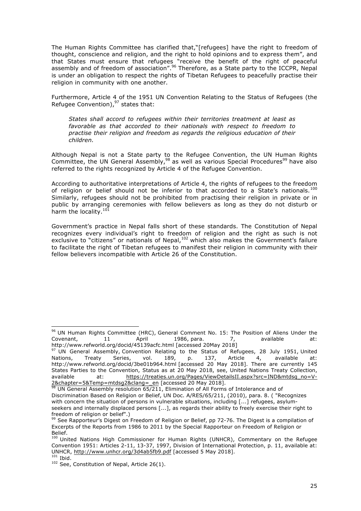The Human Rights Committee has clarified that,"[refugees] have the right to freedom of thought, conscience and religion, and the right to hold opinions and to express them", and that States must ensure that refugees "receive the benefit of the right of peaceful assembly and of freedom of association".<sup>96</sup> Therefore, as a State party to the ICCPR, Nepal is under an obligation to respect the rights of Tibetan Refugees to peacefully practise their religion in community with one another.

Furthermore, Article 4 of the 1951 UN Convention Relating to the Status of Refugees (the Refugee Convention), $97$  states that:

*States shall accord to refugees within their territories treatment at least as favorable as that accorded to their nationals with respect to freedom to practise their religion and freedom as regards the religious education of their children.*

Although Nepal is not a State party to the Refugee Convention, the UN Human Rights Committee, the UN General Assembly,  $98$  as well as various Special Procedures<sup>99</sup> have also referred to the rights recognized by Article 4 of the Refugee Convention.

According to authoritative interpretations of Article 4, the rights of refugees to the freedom of religion or belief should not be inferior to that accorded to a State's nationals.<sup>100</sup> Similarly, refugees should not be prohibited from practising their religion in private or in public by arranging ceremonies with fellow believers as long as they do not disturb or harm the locality.<sup>101</sup>

Government's practice in Nepal falls short of these standards. The Constitution of Nepal recognizes every individual's right to freedom of religion and the right as such is not exclusive to "citizens" or nationals of Nepal,<sup>102</sup> which also makes the Government's failure to facilitate the right of Tibetan refugees to manifest their religion in community with their fellow believers incompatible with Article 26 of the Constitution.

<sup>&</sup>lt;sup>96</sup> UN Human Rights Committee (HRC), General Comment No. 15: The Position of Aliens Under the Covenant, 11 April 1986, para. 7, available at: http://www.refworld.org/docid/45139acfc.html [accessed 20May 2018]

<sup>&</sup>lt;sup>97</sup> UN General Assembly, Convention Relating to the Status of Refugees, 28 July 1951, United Nations, Treaty Series, vol. 189, p. 137, Article 4, available at: http://www.refworld.org/docid/3be01b964.html [accessed 20 May 2018]. There are currently 145 States Parties to the Convention, Status as at 20 May 2018, see, United Nations Treaty Collection, available at: https://treaties.un.org/Pages/ViewDetailsII.aspx?src=IND&mtdsg\_no=V-2&chapter=5&Temp=mtdsg2&clang=\_en [accessed 20 May 2018].

UN General Assembly resolution 65/211, Elimination of All Forms of Intolerance and of Discrimination Based on Religion or Belief, UN Doc. A/RES/65/211, (2010), para. 8. ( "Recognizes with concern the situation of persons in vulnerable situations, including [...] refugees, asylumseekers and internally displaced persons [...], as regards their ability to freely exercise their right to freedom of religion or belief".)

<sup>99</sup> See Rapporteur's Digest on Freedom of Religion or Belief, pp 72-76. The Digest is a compilation of Excerpts of the Reports from 1986 to 2011 by the Special Rapporteur on Freedom of Religion or Belief.

<sup>100</sup> United Nations High Commissioner for Human Rights (UNHCR), Commentary on the Refugee Convention 1951: Articles 2-11, 13-37, 1997, Division of International Protection, p. 11, available at: UNHCR, http://www.unhcr.org/3d4ab5fb9.pdf [accessed 5 May 2018].  $101$  Ibid.

 $102$  See, Constitution of Nepal, Article 26(1).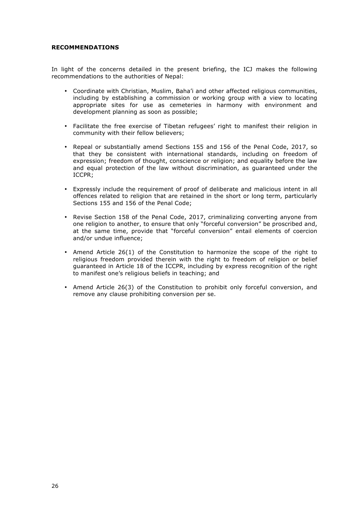#### <span id="page-27-0"></span>**RECOMMENDATIONS**

In light of the concerns detailed in the present briefing, the ICJ makes the following recommendations to the authorities of Nepal:

- Coordinate with Christian, Muslim, Baha'i and other affected religious communities, including by establishing a commission or working group with a view to locating appropriate sites for use as cemeteries in harmony with environment and development planning as soon as possible;
- Facilitate the free exercise of Tibetan refugees' right to manifest their religion in community with their fellow believers;
- Repeal or substantially amend Sections 155 and 156 of the Penal Code, 2017, so that they be consistent with international standards, including on freedom of expression; freedom of thought, conscience or religion; and equality before the law and equal protection of the law without discrimination, as guaranteed under the ICCPR;
- Expressly include the requirement of proof of deliberate and malicious intent in all offences related to religion that are retained in the short or long term, particularly Sections 155 and 156 of the Penal Code;
- Revise Section 158 of the Penal Code, 2017, criminalizing converting anyone from one religion to another, to ensure that only "forceful conversion" be proscribed and, at the same time, provide that "forceful conversion" entail elements of coercion and/or undue influence;
- Amend Article 26(1) of the Constitution to harmonize the scope of the right to religious freedom provided therein with the right to freedom of religion or belief guaranteed in Article 18 of the ICCPR, including by express recognition of the right to manifest one's religious beliefs in teaching; and
- Amend Article 26(3) of the Constitution to prohibit only forceful conversion, and remove any clause prohibiting conversion per se.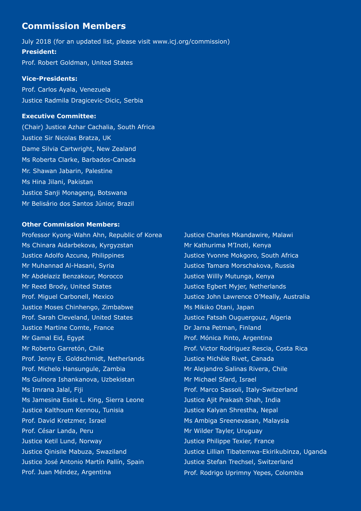# **Commission Members**

July 2018 (for an updated list, please visit www.icj.org/commission) **President:** Prof. Robert Goldman, United States

# **Vice-Presidents:**

Prof. Carlos Ayala, Venezuela Justice Radmila Dragicevic-Dicic, Serbia

# **Executive Committee:**

(Chair) Justice Azhar Cachalia, South Africa Justice Sir Nicolas Bratza, UK Dame Silvia Cartwright, New Zealand Ms Roberta Clarke, Barbados-Canada Mr. Shawan Jabarin, Palestine Ms Hina Jilani, Pakistan Justice Sanji Monageng, Botswana Mr Belisário dos Santos Júnior, Brazil

# **Other Commission Members:**

Professor Kyong-Wahn Ahn, Republic of Korea Ms Chinara Aidarbekova, Kyrgyzstan Justice Adolfo Azcuna, Philippines Mr Muhannad Al-Hasani, Syria Mr Abdelaziz Benzakour, Morocco Mr Reed Brody, United States Prof. Miguel Carbonell, Mexico Justice Moses Chinhengo, Zimbabwe Prof. Sarah Cleveland, United States Justice Martine Comte, France Mr Gamal Eid, Egypt Mr Roberto Garretón, Chile Prof. Jenny E. Goldschmidt, Netherlands Prof. Michelo Hansungule, Zambia Ms Gulnora Ishankanova, Uzbekistan Ms Imrana Jalal, Fiji Ms Jamesina Essie L. King, Sierra Leone Justice Kalthoum Kennou, Tunisia Prof. David Kretzmer, Israel Prof. César Landa, Peru Justice Ketil Lund, Norway Justice Qinisile Mabuza, Swaziland Justice José Antonio Martín Pallín, Spain Prof. Juan Méndez, Argentina

Justice Charles Mkandawire, Malawi Mr Kathurima M'Inoti, Kenya Justice Yvonne Mokgoro, South Africa Justice Tamara Morschakova, Russia Justice Willly Mutunga, Kenya Justice Egbert Myjer, Netherlands Justice John Lawrence O'Meally, Australia Ms Mikiko Otani, Japan Justice Fatsah Ouguergouz, Algeria Dr Jarna Petman, Finland Prof. Mónica Pinto, Argentina Prof. Victor Rodriguez Rescia, Costa Rica Justice Michèle Rivet, Canada Mr Alejandro Salinas Rivera, Chile Mr Michael Sfard, Israel Prof. Marco Sassoli, Italy-Switzerland Justice Ajit Prakash Shah, India Justice Kalyan Shrestha, Nepal Ms Ambiga Sreenevasan, Malaysia Mr Wilder Tayler, Uruguay Justice Philippe Texier, France Justice Lillian Tibatemwa-Ekirikubinza, Uganda Justice Stefan Trechsel, Switzerland Prof. Rodrigo Uprimny Yepes, Colombia